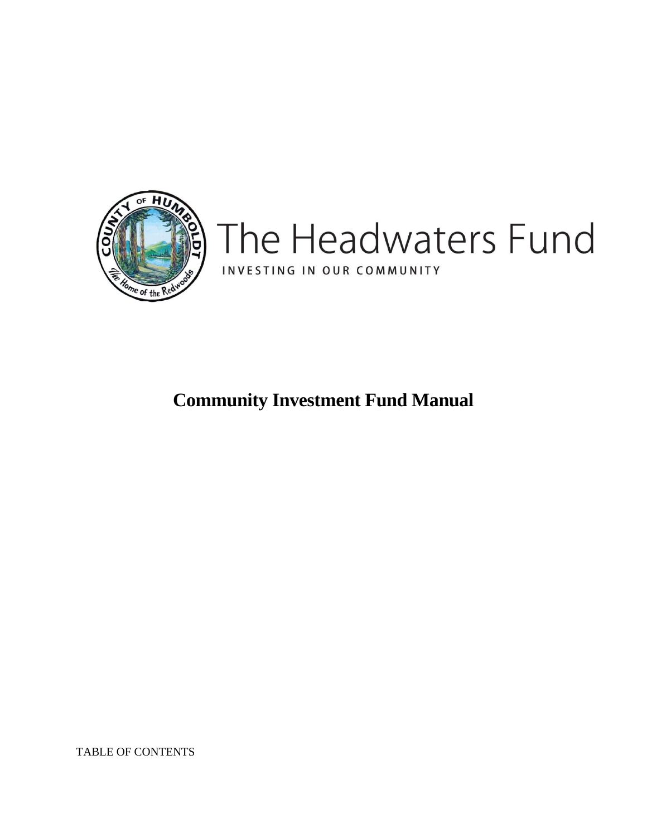

**Community Investment Fund Manual**

TABLE OF CONTENTS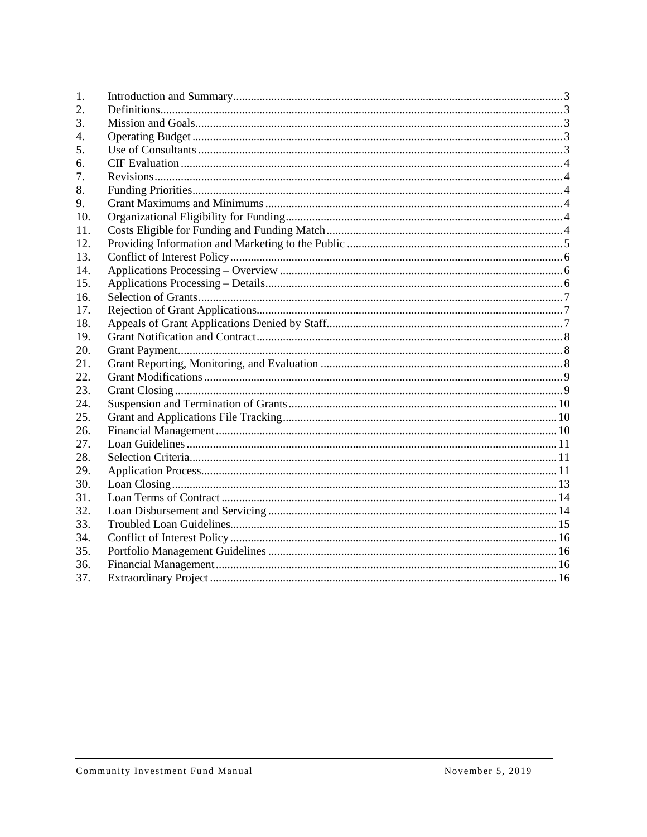| 1.  |  |
|-----|--|
| 2.  |  |
| 3.  |  |
| 4.  |  |
| 5.  |  |
| 6.  |  |
| 7.  |  |
| 8.  |  |
| 9.  |  |
| 10. |  |
| 11. |  |
| 12. |  |
| 13. |  |
| 14. |  |
| 15. |  |
| 16. |  |
| 17. |  |
| 18. |  |
| 19. |  |
| 20. |  |
| 21. |  |
| 22. |  |
| 23. |  |
| 24. |  |
| 25. |  |
| 26. |  |
| 27. |  |
| 28. |  |
| 29. |  |
| 30. |  |
| 31. |  |
| 32. |  |
| 33. |  |
| 34. |  |
| 35. |  |
| 36. |  |
| 37. |  |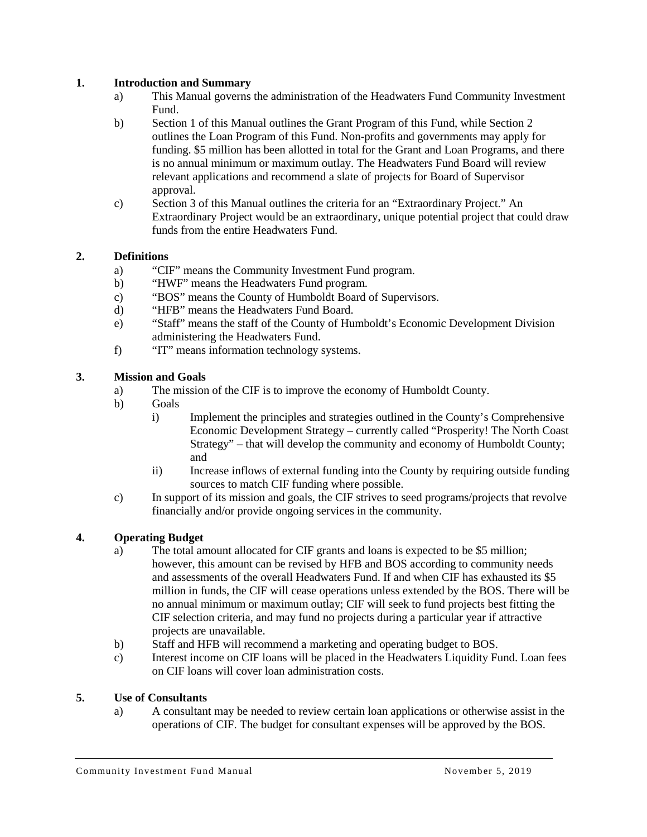### <span id="page-2-0"></span>**1. Introduction and Summary**

- a) This Manual governs the administration of the Headwaters Fund Community Investment Fund.
- b) Section 1 of this Manual outlines the Grant Program of this Fund, while Section 2 outlines the Loan Program of this Fund. Non-profits and governments may apply for funding. \$5 million has been allotted in total for the Grant and Loan Programs, and there is no annual minimum or maximum outlay. The Headwaters Fund Board will review relevant applications and recommend a slate of projects for Board of Supervisor approval.
- c) Section 3 of this Manual outlines the criteria for an "Extraordinary Project." An Extraordinary Project would be an extraordinary, unique potential project that could draw funds from the entire Headwaters Fund.

### <span id="page-2-1"></span>**2. Definitions**

- a) "CIF" means the Community Investment Fund program.
- b) "HWF" means the Headwaters Fund program.
- c) "BOS" means the County of Humboldt Board of Supervisors.
- d) "HFB" means the Headwaters Fund Board.
- e) "Staff" means the staff of the County of Humboldt's Economic Development Division administering the Headwaters Fund.
- f) "IT" means information technology systems.

### <span id="page-2-2"></span>**3. Mission and Goals**

- a) The mission of the CIF is to improve the economy of Humboldt County.
- b) Goals
	- i) Implement the principles and strategies outlined in the County's Comprehensive Economic Development Strategy – currently called "Prosperity! The North Coast Strategy" – that will develop the community and economy of Humboldt County; and
	- ii) Increase inflows of external funding into the County by requiring outside funding sources to match CIF funding where possible.
- c) In support of its mission and goals, the CIF strives to seed programs/projects that revolve financially and/or provide ongoing services in the community.

### <span id="page-2-3"></span>**4. Operating Budget**

- a) The total amount allocated for CIF grants and loans is expected to be \$5 million; however, this amount can be revised by HFB and BOS according to community needs and assessments of the overall Headwaters Fund. If and when CIF has exhausted its \$5 million in funds, the CIF will cease operations unless extended by the BOS. There will be no annual minimum or maximum outlay; CIF will seek to fund projects best fitting the CIF selection criteria, and may fund no projects during a particular year if attractive projects are unavailable.
- b) Staff and HFB will recommend a marketing and operating budget to BOS.
- c) Interest income on CIF loans will be placed in the Headwaters Liquidity Fund. Loan fees on CIF loans will cover loan administration costs.

#### <span id="page-2-4"></span>**5. Use of Consultants**

a) A consultant may be needed to review certain loan applications or otherwise assist in the operations of CIF. The budget for consultant expenses will be approved by the BOS.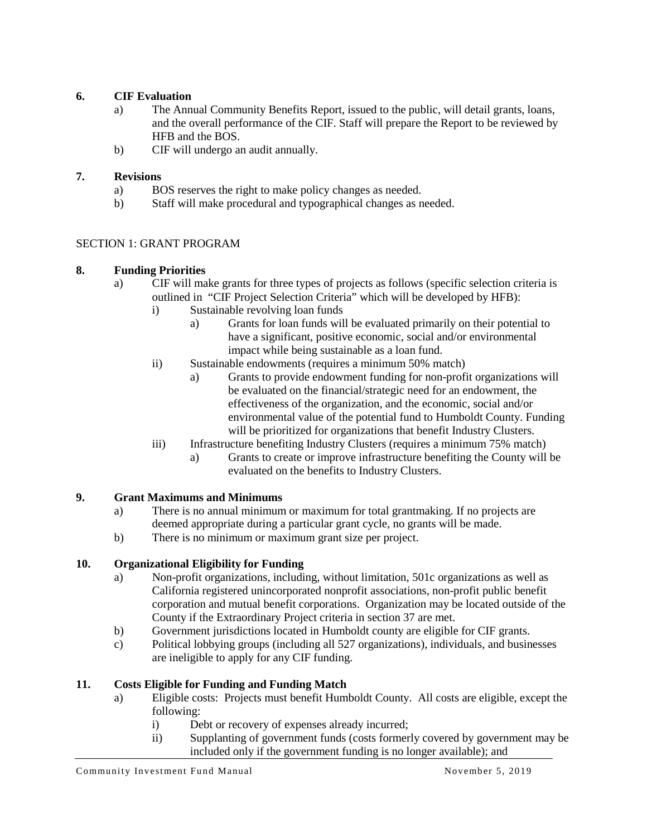### <span id="page-3-0"></span>**6. CIF Evaluation**

- a) The Annual Community Benefits Report, issued to the public, will detail grants, loans, and the overall performance of the CIF. Staff will prepare the Report to be reviewed by HFB and the BOS.
- b) CIF will undergo an audit annually.

### <span id="page-3-1"></span>**7. Revisions**

- a) BOS reserves the right to make policy changes as needed.
- b) Staff will make procedural and typographical changes as needed.

### SECTION 1: GRANT PROGRAM

### <span id="page-3-2"></span>**8. Funding Priorities**

- a) CIF will make grants for three types of projects as follows (specific selection criteria is outlined in "CIF Project Selection Criteria" which will be developed by HFB):
	- i) Sustainable revolving loan funds
		- a) Grants for loan funds will be evaluated primarily on their potential to have a significant, positive economic, social and/or environmental impact while being sustainable as a loan fund.
	- ii) Sustainable endowments (requires a minimum 50% match)
		- a) Grants to provide endowment funding for non-profit organizations will be evaluated on the financial/strategic need for an endowment, the effectiveness of the organization, and the economic, social and/or environmental value of the potential fund to Humboldt County. Funding will be prioritized for organizations that benefit Industry Clusters.
	- iii) Infrastructure benefiting Industry Clusters (requires a minimum 75% match)
		- a) Grants to create or improve infrastructure benefiting the County will be evaluated on the benefits to Industry Clusters.

# <span id="page-3-3"></span>**9. Grant Maximums and Minimums**

- a) There is no annual minimum or maximum for total grantmaking. If no projects are deemed appropriate during a particular grant cycle, no grants will be made.
- b) There is no minimum or maximum grant size per project.

# <span id="page-3-4"></span>**10. Organizational Eligibility for Funding**

- a) Non-profit organizations, including, without limitation, 501c organizations as well as California registered unincorporated nonprofit associations, non-profit public benefit corporation and mutual benefit corporations. Organization may be located outside of the County if the Extraordinary Project criteria in section 37 are met.
- b) Government jurisdictions located in Humboldt county are eligible for CIF grants.
- c) Political lobbying groups (including all 527 organizations), individuals, and businesses are ineligible to apply for any CIF funding.

### <span id="page-3-5"></span>**11. Costs Eligible for Funding and Funding Match**

- a) Eligible costs: Projects must benefit Humboldt County. All costs are eligible, except the following:
	- i) Debt or recovery of expenses already incurred;
	- ii) Supplanting of government funds (costs formerly covered by government may be included only if the government funding is no longer available); and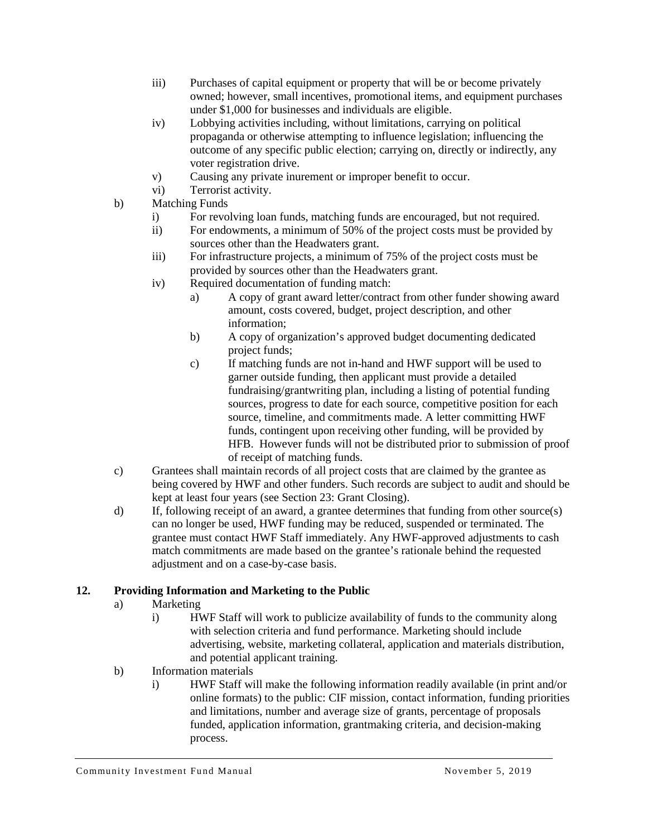- iii) Purchases of capital equipment or property that will be or become privately owned; however, small incentives, promotional items, and equipment purchases under \$1,000 for businesses and individuals are eligible.
- iv) Lobbying activities including, without limitations, carrying on political propaganda or otherwise attempting to influence legislation; influencing the outcome of any specific public election; carrying on, directly or indirectly, any voter registration drive.
- v) Causing any private inurement or improper benefit to occur.
- vi) Terrorist activity.
- b) Matching Funds
	- i) For revolving loan funds, matching funds are encouraged, but not required.
	- ii) For endowments, a minimum of 50% of the project costs must be provided by sources other than the Headwaters grant.
	- iii) For infrastructure projects, a minimum of 75% of the project costs must be provided by sources other than the Headwaters grant.
	- iv) Required documentation of funding match:
		- a) A copy of grant award letter/contract from other funder showing award amount, costs covered, budget, project description, and other information;
		- b) A copy of organization's approved budget documenting dedicated project funds;
		- c) If matching funds are not in-hand and HWF support will be used to garner outside funding, then applicant must provide a detailed fundraising/grantwriting plan, including a listing of potential funding sources, progress to date for each source, competitive position for each source, timeline, and commitments made. A letter committing HWF funds, contingent upon receiving other funding, will be provided by HFB. However funds will not be distributed prior to submission of proof of receipt of matching funds.
- c) Grantees shall maintain records of all project costs that are claimed by the grantee as being covered by HWF and other funders. Such records are subject to audit and should be kept at least four years (see Section 23: Grant Closing).
- d) If, following receipt of an award, a grantee determines that funding from other source(s) can no longer be used, HWF funding may be reduced, suspended or terminated. The grantee must contact HWF Staff immediately. Any HWF-approved adjustments to cash match commitments are made based on the grantee's rationale behind the requested adjustment and on a case-by-case basis.

# <span id="page-4-0"></span>**12. Providing Information and Marketing to the Public**

- a) Marketing
	- i) HWF Staff will work to publicize availability of funds to the community along with selection criteria and fund performance. Marketing should include advertising, website, marketing collateral, application and materials distribution, and potential applicant training.
- b) Information materials
	- i) HWF Staff will make the following information readily available (in print and/or online formats) to the public: CIF mission, contact information, funding priorities and limitations, number and average size of grants, percentage of proposals funded, application information, grantmaking criteria, and decision-making process.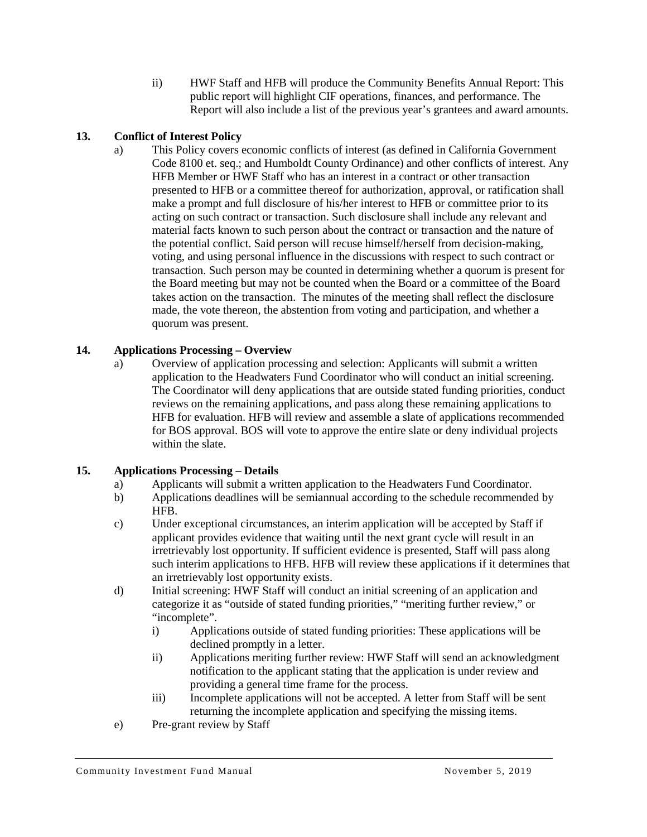ii) HWF Staff and HFB will produce the Community Benefits Annual Report: This public report will highlight CIF operations, finances, and performance. The Report will also include a list of the previous year's grantees and award amounts.

# <span id="page-5-0"></span>**13. Conflict of Interest Policy**

a) This Policy covers economic conflicts of interest (as defined in California Government Code 8100 et. seq.; and Humboldt County Ordinance) and other conflicts of interest. Any HFB Member or HWF Staff who has an interest in a contract or other transaction presented to HFB or a committee thereof for authorization, approval, or ratification shall make a prompt and full disclosure of his/her interest to HFB or committee prior to its acting on such contract or transaction. Such disclosure shall include any relevant and material facts known to such person about the contract or transaction and the nature of the potential conflict. Said person will recuse himself/herself from decision-making, voting, and using personal influence in the discussions with respect to such contract or transaction. Such person may be counted in determining whether a quorum is present for the Board meeting but may not be counted when the Board or a committee of the Board takes action on the transaction. The minutes of the meeting shall reflect the disclosure made, the vote thereon, the abstention from voting and participation, and whether a quorum was present.

# <span id="page-5-1"></span>**14. Applications Processing – Overview**

a) Overview of application processing and selection: Applicants will submit a written application to the Headwaters Fund Coordinator who will conduct an initial screening. The Coordinator will deny applications that are outside stated funding priorities, conduct reviews on the remaining applications, and pass along these remaining applications to HFB for evaluation. HFB will review and assemble a slate of applications recommended for BOS approval. BOS will vote to approve the entire slate or deny individual projects within the slate.

# <span id="page-5-2"></span>**15. Applications Processing – Details**

- a) Applicants will submit a written application to the Headwaters Fund Coordinator.
- b) Applications deadlines will be semiannual according to the schedule recommended by HFB.
- c) Under exceptional circumstances, an interim application will be accepted by Staff if applicant provides evidence that waiting until the next grant cycle will result in an irretrievably lost opportunity. If sufficient evidence is presented, Staff will pass along such interim applications to HFB. HFB will review these applications if it determines that an irretrievably lost opportunity exists.
- d) Initial screening: HWF Staff will conduct an initial screening of an application and categorize it as "outside of stated funding priorities," "meriting further review," or "incomplete".
	- i) Applications outside of stated funding priorities: These applications will be declined promptly in a letter.
	- ii) Applications meriting further review: HWF Staff will send an acknowledgment notification to the applicant stating that the application is under review and providing a general time frame for the process.
	- iii) Incomplete applications will not be accepted. A letter from Staff will be sent returning the incomplete application and specifying the missing items.
- e) Pre-grant review by Staff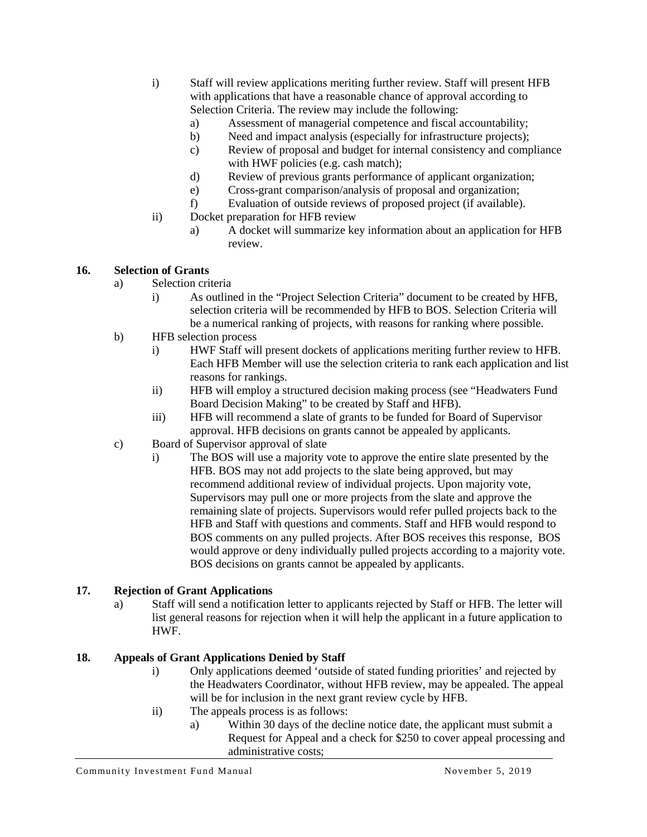- i) Staff will review applications meriting further review. Staff will present HFB with applications that have a reasonable chance of approval according to Selection Criteria. The review may include the following:
	- a) Assessment of managerial competence and fiscal accountability;
	- b) Need and impact analysis (especially for infrastructure projects);
	- c) Review of proposal and budget for internal consistency and compliance with HWF policies (e.g. cash match);
	- d) Review of previous grants performance of applicant organization;
	- e) Cross-grant comparison/analysis of proposal and organization;
	- f) Evaluation of outside reviews of proposed project (if available).
- ii) Docket preparation for HFB review
	- a) A docket will summarize key information about an application for HFB review.

#### <span id="page-6-0"></span>**16. Selection of Grants**

- a) Selection criteria
	- i) As outlined in the "Project Selection Criteria" document to be created by HFB, selection criteria will be recommended by HFB to BOS. Selection Criteria will be a numerical ranking of projects, with reasons for ranking where possible.
- b) HFB selection process
	- i) HWF Staff will present dockets of applications meriting further review to HFB. Each HFB Member will use the selection criteria to rank each application and list reasons for rankings.
	- ii) HFB will employ a structured decision making process (see "Headwaters Fund Board Decision Making" to be created by Staff and HFB).
	- iii) HFB will recommend a slate of grants to be funded for Board of Supervisor approval. HFB decisions on grants cannot be appealed by applicants.
- c) Board of Supervisor approval of slate
	- i) The BOS will use a majority vote to approve the entire slate presented by the HFB. BOS may not add projects to the slate being approved, but may recommend additional review of individual projects. Upon majority vote, Supervisors may pull one or more projects from the slate and approve the remaining slate of projects. Supervisors would refer pulled projects back to the HFB and Staff with questions and comments. Staff and HFB would respond to BOS comments on any pulled projects. After BOS receives this response, BOS would approve or deny individually pulled projects according to a majority vote. BOS decisions on grants cannot be appealed by applicants.

### <span id="page-6-1"></span>**17. Rejection of Grant Applications**

a) Staff will send a notification letter to applicants rejected by Staff or HFB. The letter will list general reasons for rejection when it will help the applicant in a future application to HWF.

### <span id="page-6-2"></span>**18. Appeals of Grant Applications Denied by Staff**

- i) Only applications deemed 'outside of stated funding priorities' and rejected by the Headwaters Coordinator, without HFB review, may be appealed. The appeal will be for inclusion in the next grant review cycle by HFB.
- ii) The appeals process is as follows:
	- a) Within 30 days of the decline notice date, the applicant must submit a Request for Appeal and a check for \$250 to cover appeal processing and administrative costs;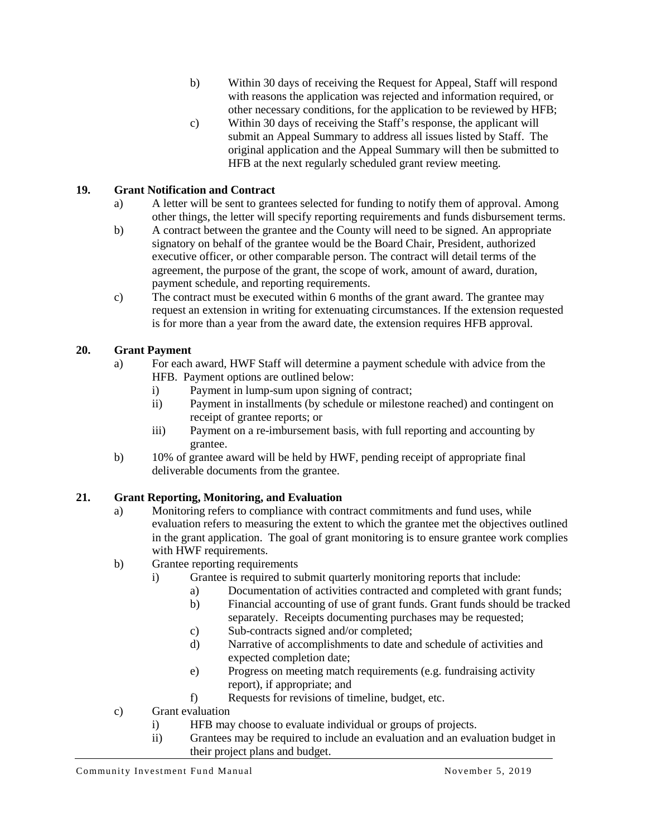- b) Within 30 days of receiving the Request for Appeal, Staff will respond with reasons the application was rejected and information required, or other necessary conditions, for the application to be reviewed by HFB;
- c) Within 30 days of receiving the Staff's response, the applicant will submit an Appeal Summary to address all issues listed by Staff. The original application and the Appeal Summary will then be submitted to HFB at the next regularly scheduled grant review meeting.

# <span id="page-7-0"></span>**19. Grant Notification and Contract**

- a) A letter will be sent to grantees selected for funding to notify them of approval. Among other things, the letter will specify reporting requirements and funds disbursement terms.
- b) A contract between the grantee and the County will need to be signed. An appropriate signatory on behalf of the grantee would be the Board Chair, President, authorized executive officer, or other comparable person. The contract will detail terms of the agreement, the purpose of the grant, the scope of work, amount of award, duration, payment schedule, and reporting requirements.
- c) The contract must be executed within 6 months of the grant award. The grantee may request an extension in writing for extenuating circumstances. If the extension requested is for more than a year from the award date, the extension requires HFB approval.

# <span id="page-7-1"></span>**20. Grant Payment**

- a) For each award, HWF Staff will determine a payment schedule with advice from the HFB. Payment options are outlined below:
	- i) Payment in lump-sum upon signing of contract;
	- ii) Payment in installments (by schedule or milestone reached) and contingent on receipt of grantee reports; or
	- iii) Payment on a re-imbursement basis, with full reporting and accounting by grantee.
- b) 10% of grantee award will be held by HWF, pending receipt of appropriate final deliverable documents from the grantee.

# <span id="page-7-2"></span>**21. Grant Reporting, Monitoring, and Evaluation**

- a) Monitoring refers to compliance with contract commitments and fund uses, while evaluation refers to measuring the extent to which the grantee met the objectives outlined in the grant application. The goal of grant monitoring is to ensure grantee work complies with HWF requirements.
- b) Grantee reporting requirements
	- i) Grantee is required to submit quarterly monitoring reports that include:
		- a) Documentation of activities contracted and completed with grant funds;
		- b) Financial accounting of use of grant funds. Grant funds should be tracked separately. Receipts documenting purchases may be requested;
		- c) Sub-contracts signed and/or completed;
		- d) Narrative of accomplishments to date and schedule of activities and expected completion date;
		- e) Progress on meeting match requirements (e.g. fundraising activity report), if appropriate; and
		- f) Requests for revisions of timeline, budget, etc.
- c) Grant evaluation
	- i) HFB may choose to evaluate individual or groups of projects.
	- ii) Grantees may be required to include an evaluation and an evaluation budget in their project plans and budget.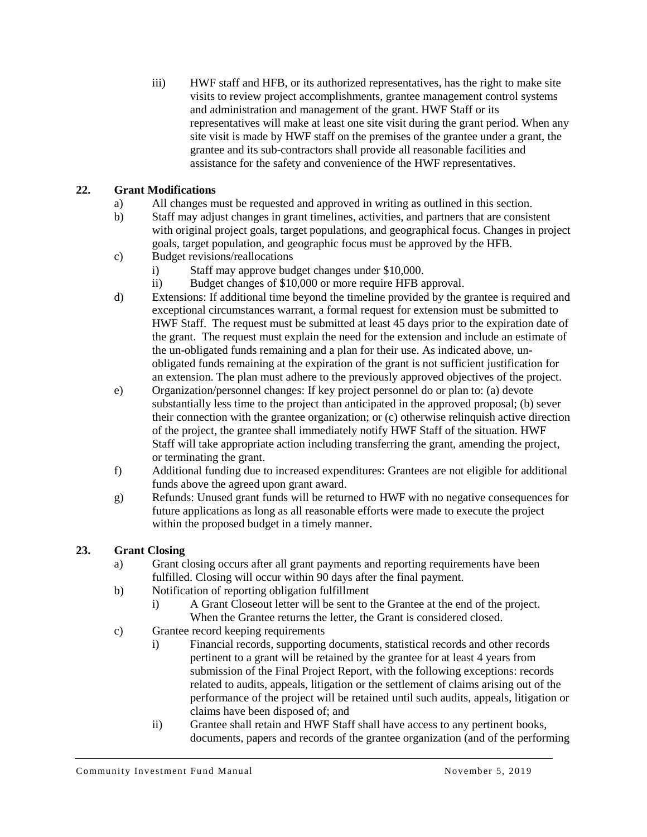iii) HWF staff and HFB, or its authorized representatives, has the right to make site visits to review project accomplishments, grantee management control systems and administration and management of the grant. HWF Staff or its representatives will make at least one site visit during the grant period. When any site visit is made by HWF staff on the premises of the grantee under a grant, the grantee and its sub-contractors shall provide all reasonable facilities and assistance for the safety and convenience of the HWF representatives.

# <span id="page-8-0"></span>**22. Grant Modifications**

- a) All changes must be requested and approved in writing as outlined in this section.
- b) Staff may adjust changes in grant timelines, activities, and partners that are consistent with original project goals, target populations, and geographical focus. Changes in project goals, target population, and geographic focus must be approved by the HFB.
- c) Budget revisions/reallocations
	- i) Staff may approve budget changes under \$10,000.
	- ii) Budget changes of \$10,000 or more require HFB approval.
- d) Extensions: If additional time beyond the timeline provided by the grantee is required and exceptional circumstances warrant, a formal request for extension must be submitted to HWF Staff. The request must be submitted at least 45 days prior to the expiration date of the grant. The request must explain the need for the extension and include an estimate of the un-obligated funds remaining and a plan for their use. As indicated above, unobligated funds remaining at the expiration of the grant is not sufficient justification for an extension. The plan must adhere to the previously approved objectives of the project.
- e) Organization/personnel changes: If key project personnel do or plan to: (a) devote substantially less time to the project than anticipated in the approved proposal; (b) sever their connection with the grantee organization; or (c) otherwise relinquish active direction of the project, the grantee shall immediately notify HWF Staff of the situation. HWF Staff will take appropriate action including transferring the grant, amending the project, or terminating the grant.
- f) Additional funding due to increased expenditures: Grantees are not eligible for additional funds above the agreed upon grant award.
- g) Refunds: Unused grant funds will be returned to HWF with no negative consequences for future applications as long as all reasonable efforts were made to execute the project within the proposed budget in a timely manner.

# <span id="page-8-1"></span>**23. Grant Closing**

- a) Grant closing occurs after all grant payments and reporting requirements have been fulfilled. Closing will occur within 90 days after the final payment.
- b) Notification of reporting obligation fulfillment
	- i) A Grant Closeout letter will be sent to the Grantee at the end of the project. When the Grantee returns the letter, the Grant is considered closed.
- c) Grantee record keeping requirements
	- i) Financial records, supporting documents, statistical records and other records pertinent to a grant will be retained by the grantee for at least 4 years from submission of the Final Project Report, with the following exceptions: records related to audits, appeals, litigation or the settlement of claims arising out of the performance of the project will be retained until such audits, appeals, litigation or claims have been disposed of; and
	- ii) Grantee shall retain and HWF Staff shall have access to any pertinent books, documents, papers and records of the grantee organization (and of the performing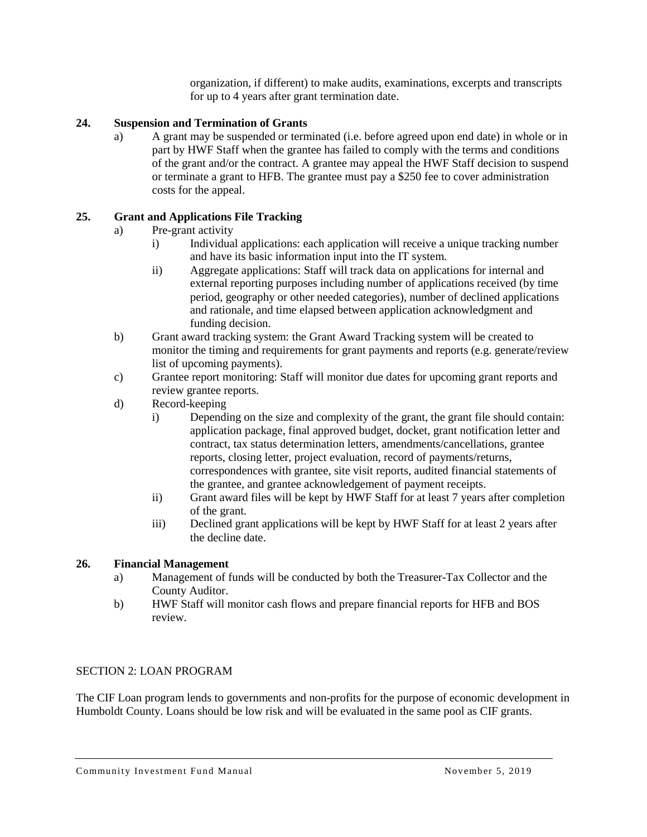organization, if different) to make audits, examinations, excerpts and transcripts for up to 4 years after grant termination date.

### <span id="page-9-0"></span>**24. Suspension and Termination of Grants**

a) A grant may be suspended or terminated (i.e. before agreed upon end date) in whole or in part by HWF Staff when the grantee has failed to comply with the terms and conditions of the grant and/or the contract. A grantee may appeal the HWF Staff decision to suspend or terminate a grant to HFB. The grantee must pay a \$250 fee to cover administration costs for the appeal.

### <span id="page-9-1"></span>**25. Grant and Applications File Tracking**

- a) Pre-grant activity
	- i) Individual applications: each application will receive a unique tracking number and have its basic information input into the IT system.
	- ii) Aggregate applications: Staff will track data on applications for internal and external reporting purposes including number of applications received (by time period, geography or other needed categories), number of declined applications and rationale, and time elapsed between application acknowledgment and funding decision.
- b) Grant award tracking system: the Grant Award Tracking system will be created to monitor the timing and requirements for grant payments and reports (e.g. generate/review list of upcoming payments).
- c) Grantee report monitoring: Staff will monitor due dates for upcoming grant reports and review grantee reports.
- d) Record-keeping
	- i) Depending on the size and complexity of the grant, the grant file should contain: application package, final approved budget, docket, grant notification letter and contract, tax status determination letters, amendments/cancellations, grantee reports, closing letter, project evaluation, record of payments/returns, correspondences with grantee, site visit reports, audited financial statements of the grantee, and grantee acknowledgement of payment receipts.
	- ii) Grant award files will be kept by HWF Staff for at least 7 years after completion of the grant.
	- iii) Declined grant applications will be kept by HWF Staff for at least 2 years after the decline date.

### <span id="page-9-2"></span>**26. Financial Management**

- a) Management of funds will be conducted by both the Treasurer-Tax Collector and the County Auditor.
- b) HWF Staff will monitor cash flows and prepare financial reports for HFB and BOS review.

#### SECTION 2: LOAN PROGRAM

The CIF Loan program lends to governments and non-profits for the purpose of economic development in Humboldt County. Loans should be low risk and will be evaluated in the same pool as CIF grants.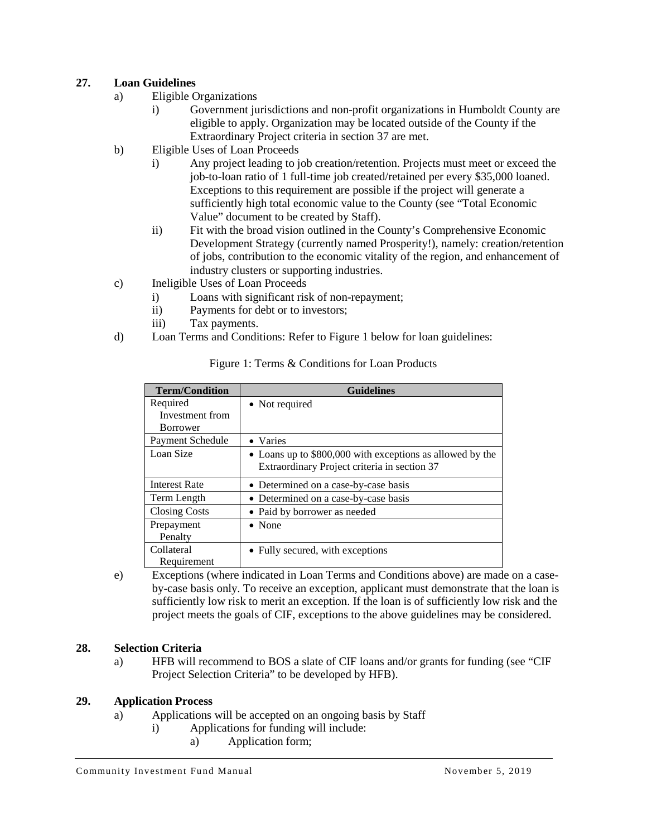### <span id="page-10-0"></span>**27. Loan Guidelines**

- a) Eligible Organizations
	- i) Government jurisdictions and non-profit organizations in Humboldt County are eligible to apply. Organization may be located outside of the County if the Extraordinary Project criteria in section 37 are met.
- b) Eligible Uses of Loan Proceeds
	- i) Any project leading to job creation/retention. Projects must meet or exceed the job-to-loan ratio of 1 full-time job created/retained per every \$35,000 loaned. Exceptions to this requirement are possible if the project will generate a sufficiently high total economic value to the County (see "Total Economic Value" document to be created by Staff).
	- ii) Fit with the broad vision outlined in the County's Comprehensive Economic Development Strategy (currently named Prosperity!), namely: creation/retention of jobs, contribution to the economic vitality of the region, and enhancement of industry clusters or supporting industries.
- c) Ineligible Uses of Loan Proceeds
	- i) Loans with significant risk of non-repayment;
	- ii) Payments for debt or to investors;
	- iii) Tax payments.
- d) Loan Terms and Conditions: Refer to Figure 1 below for loan guidelines:

| <b>Term/Condition</b> | <b>Guidelines</b>                                         |
|-----------------------|-----------------------------------------------------------|
| Required              | • Not required                                            |
| Investment from       |                                                           |
| <b>Borrower</b>       |                                                           |
| Payment Schedule      | • Varies                                                  |
| Loan Size             | • Loans up to \$800,000 with exceptions as allowed by the |
|                       | Extraordinary Project criteria in section 37              |
| <b>Interest Rate</b>  | • Determined on a case-by-case basis                      |
| Term Length           | • Determined on a case-by-case basis                      |
| <b>Closing Costs</b>  | • Paid by borrower as needed                              |
| Prepayment            | $\bullet$ None                                            |
| Penalty               |                                                           |
| Collateral            | • Fully secured, with exceptions                          |
| Requirement           |                                                           |

#### Figure 1: Terms & Conditions for Loan Products

e) Exceptions (where indicated in Loan Terms and Conditions above) are made on a caseby-case basis only. To receive an exception, applicant must demonstrate that the loan is sufficiently low risk to merit an exception. If the loan is of sufficiently low risk and the project meets the goals of CIF, exceptions to the above guidelines may be considered.

### <span id="page-10-1"></span>**28. Selection Criteria**

a) HFB will recommend to BOS a slate of CIF loans and/or grants for funding (see "CIF Project Selection Criteria" to be developed by HFB).

### <span id="page-10-2"></span>**29. Application Process**

- a) Applications will be accepted on an ongoing basis by Staff
	- i) Applications for funding will include:
		- a) Application form;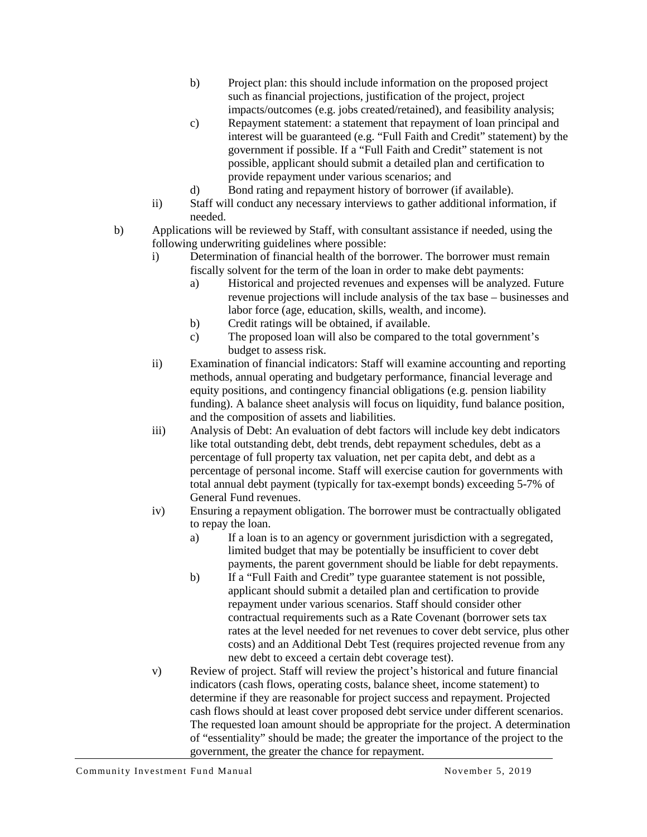- b) Project plan: this should include information on the proposed project such as financial projections, justification of the project, project impacts/outcomes (e.g. jobs created/retained), and feasibility analysis;
- c) Repayment statement: a statement that repayment of loan principal and interest will be guaranteed (e.g. "Full Faith and Credit" statement) by the government if possible. If a "Full Faith and Credit" statement is not possible, applicant should submit a detailed plan and certification to provide repayment under various scenarios; and
- d) Bond rating and repayment history of borrower (if available).
- ii) Staff will conduct any necessary interviews to gather additional information, if needed.
- b) Applications will be reviewed by Staff, with consultant assistance if needed, using the following underwriting guidelines where possible:
	- i) Determination of financial health of the borrower. The borrower must remain fiscally solvent for the term of the loan in order to make debt payments:
		- a) Historical and projected revenues and expenses will be analyzed. Future revenue projections will include analysis of the tax base – businesses and labor force (age, education, skills, wealth, and income).
		- b) Credit ratings will be obtained, if available.
		- c) The proposed loan will also be compared to the total government's budget to assess risk.
	- ii) Examination of financial indicators: Staff will examine accounting and reporting methods, annual operating and budgetary performance, financial leverage and equity positions, and contingency financial obligations (e.g. pension liability funding). A balance sheet analysis will focus on liquidity, fund balance position, and the composition of assets and liabilities.
	- iii) Analysis of Debt: An evaluation of debt factors will include key debt indicators like total outstanding debt, debt trends, debt repayment schedules, debt as a percentage of full property tax valuation, net per capita debt, and debt as a percentage of personal income. Staff will exercise caution for governments with total annual debt payment (typically for tax-exempt bonds) exceeding 5-7% of General Fund revenues.
	- iv) Ensuring a repayment obligation. The borrower must be contractually obligated to repay the loan.
		- a) If a loan is to an agency or government jurisdiction with a segregated, limited budget that may be potentially be insufficient to cover debt payments, the parent government should be liable for debt repayments.
		- b) If a "Full Faith and Credit" type guarantee statement is not possible, applicant should submit a detailed plan and certification to provide repayment under various scenarios. Staff should consider other contractual requirements such as a Rate Covenant (borrower sets tax rates at the level needed for net revenues to cover debt service, plus other costs) and an Additional Debt Test (requires projected revenue from any new debt to exceed a certain debt coverage test).
	- v) Review of project. Staff will review the project's historical and future financial indicators (cash flows, operating costs, balance sheet, income statement) to determine if they are reasonable for project success and repayment. Projected cash flows should at least cover proposed debt service under different scenarios. The requested loan amount should be appropriate for the project. A determination of "essentiality" should be made; the greater the importance of the project to the government, the greater the chance for repayment.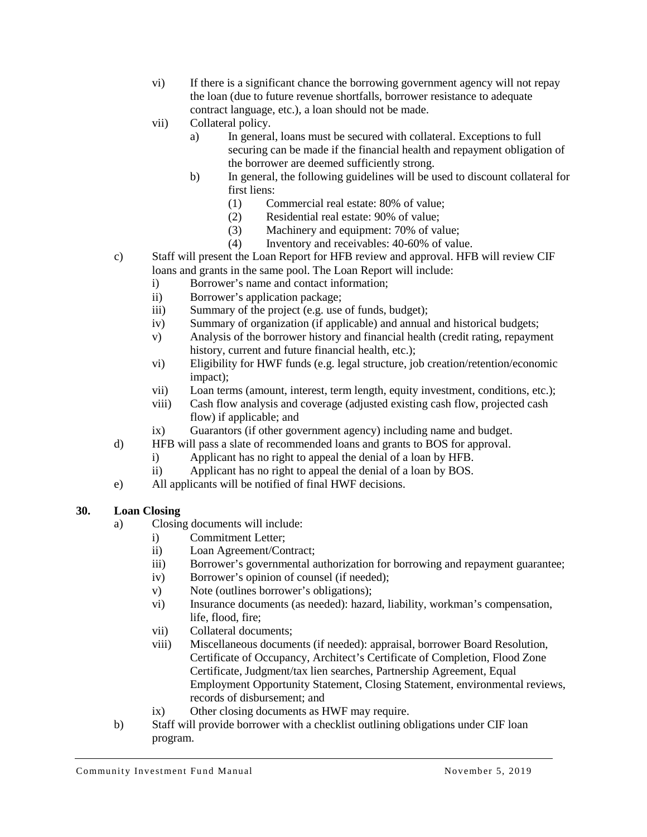- vi) If there is a significant chance the borrowing government agency will not repay the loan (due to future revenue shortfalls, borrower resistance to adequate contract language, etc.), a loan should not be made.
- vii) Collateral policy.
	- a) In general, loans must be secured with collateral. Exceptions to full securing can be made if the financial health and repayment obligation of the borrower are deemed sufficiently strong.
	- b) In general, the following guidelines will be used to discount collateral for first liens:
		- (1) Commercial real estate: 80% of value;
		- (2) Residential real estate: 90% of value;
		- (3) Machinery and equipment: 70% of value;
		- (4) Inventory and receivables: 40-60% of value.
- c) Staff will present the Loan Report for HFB review and approval. HFB will review CIF loans and grants in the same pool. The Loan Report will include:
	- i) Borrower's name and contact information;
	- ii) Borrower's application package;
	- iii) Summary of the project (e.g. use of funds, budget);
	- iv) Summary of organization (if applicable) and annual and historical budgets;
	- v) Analysis of the borrower history and financial health (credit rating, repayment history, current and future financial health, etc.);
	- vi) Eligibility for HWF funds (e.g. legal structure, job creation/retention/economic impact);
	- vii) Loan terms (amount, interest, term length, equity investment, conditions, etc.);
	- viii) Cash flow analysis and coverage (adjusted existing cash flow, projected cash flow) if applicable; and
	- ix) Guarantors (if other government agency) including name and budget.
- d) HFB will pass a slate of recommended loans and grants to BOS for approval.
	- i) Applicant has no right to appeal the denial of a loan by HFB.
	- ii) Applicant has no right to appeal the denial of a loan by BOS.
- e) All applicants will be notified of final HWF decisions.

### <span id="page-12-0"></span>**30. Loan Closing**

- a) Closing documents will include:
	- i) Commitment Letter;
	- ii) Loan Agreement/Contract;
	- iii) Borrower's governmental authorization for borrowing and repayment guarantee;
	- iv) Borrower's opinion of counsel (if needed);
	- v) Note (outlines borrower's obligations);
	- vi) Insurance documents (as needed): hazard, liability, workman's compensation, life, flood, fire;
	- vii) Collateral documents;
	- viii) Miscellaneous documents (if needed): appraisal, borrower Board Resolution, Certificate of Occupancy, Architect's Certificate of Completion, Flood Zone Certificate, Judgment/tax lien searches, Partnership Agreement, Equal Employment Opportunity Statement, Closing Statement, environmental reviews, records of disbursement; and
	- ix) Other closing documents as HWF may require.
- b) Staff will provide borrower with a checklist outlining obligations under CIF loan program.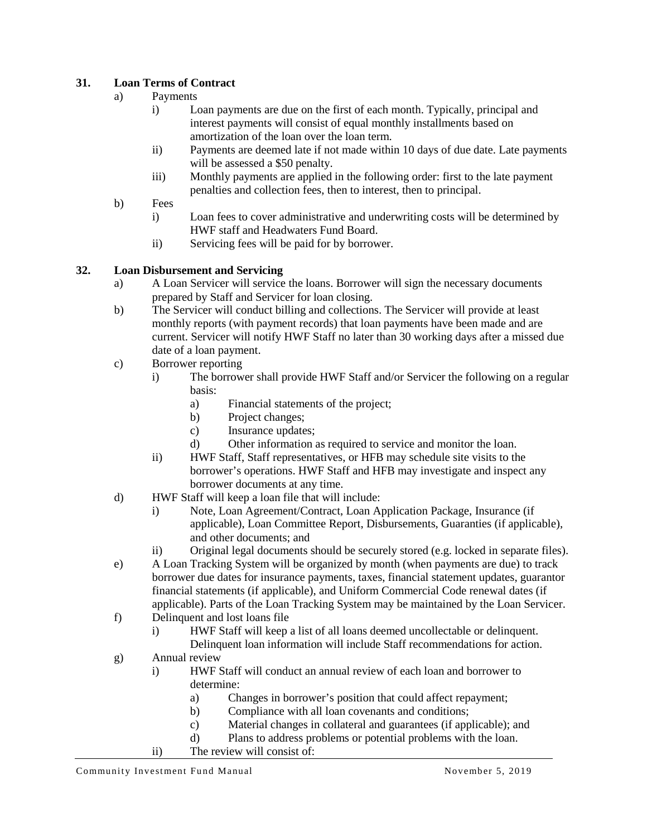## <span id="page-13-0"></span>**31. Loan Terms of Contract**

- a) Payments
	- i) Loan payments are due on the first of each month. Typically, principal and interest payments will consist of equal monthly installments based on amortization of the loan over the loan term.
	- ii) Payments are deemed late if not made within 10 days of due date. Late payments will be assessed a \$50 penalty.
	- iii) Monthly payments are applied in the following order: first to the late payment penalties and collection fees, then to interest, then to principal.
- b) Fees
	- i) Loan fees to cover administrative and underwriting costs will be determined by HWF staff and Headwaters Fund Board.
	- ii) Servicing fees will be paid for by borrower.

### <span id="page-13-1"></span>**32. Loan Disbursement and Servicing**

- a) A Loan Servicer will service the loans. Borrower will sign the necessary documents prepared by Staff and Servicer for loan closing.
- b) The Servicer will conduct billing and collections. The Servicer will provide at least monthly reports (with payment records) that loan payments have been made and are current. Servicer will notify HWF Staff no later than 30 working days after a missed due date of a loan payment.
- c) Borrower reporting
	- i) The borrower shall provide HWF Staff and/or Servicer the following on a regular basis:
		- a) Financial statements of the project;
		- b) Project changes;
		- c) Insurance updates;
		- d) Other information as required to service and monitor the loan.
	- ii) HWF Staff, Staff representatives, or HFB may schedule site visits to the borrower's operations. HWF Staff and HFB may investigate and inspect any borrower documents at any time.
- d) HWF Staff will keep a loan file that will include:
	- i) Note, Loan Agreement/Contract, Loan Application Package, Insurance (if applicable), Loan Committee Report, Disbursements, Guaranties (if applicable), and other documents; and
	- ii) Original legal documents should be securely stored (e.g. locked in separate files).
- e) A Loan Tracking System will be organized by month (when payments are due) to track borrower due dates for insurance payments, taxes, financial statement updates, guarantor financial statements (if applicable), and Uniform Commercial Code renewal dates (if applicable). Parts of the Loan Tracking System may be maintained by the Loan Servicer.
- f) Delinquent and lost loans file
	- i) HWF Staff will keep a list of all loans deemed uncollectable or delinquent.
	- Delinquent loan information will include Staff recommendations for action.
- g) Annual review
	- i) HWF Staff will conduct an annual review of each loan and borrower to determine:
		- a) Changes in borrower's position that could affect repayment;
		- b) Compliance with all loan covenants and conditions;
		- c) Material changes in collateral and guarantees (if applicable); and
		- d) Plans to address problems or potential problems with the loan.
	- ii) The review will consist of: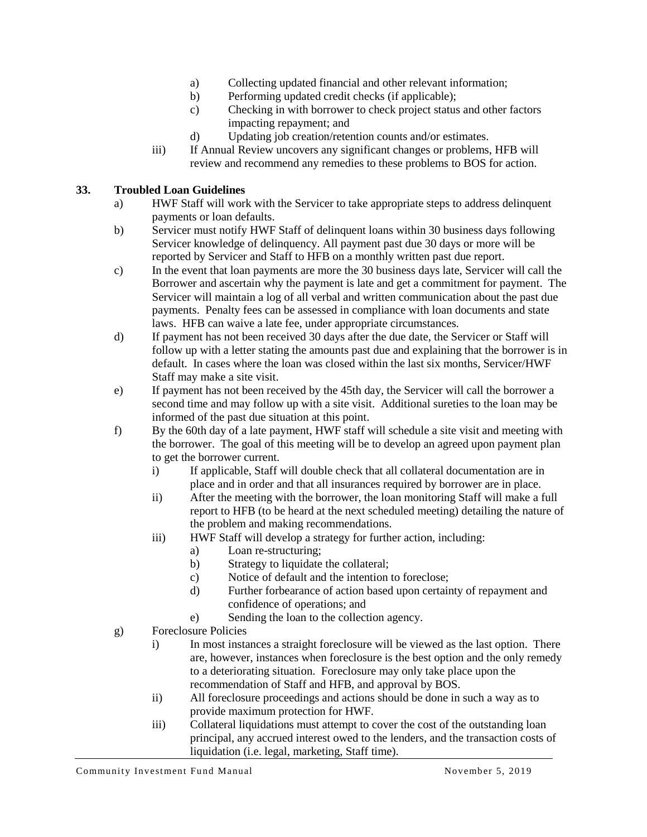- a) Collecting updated financial and other relevant information;
- b) Performing updated credit checks (if applicable);
- c) Checking in with borrower to check project status and other factors impacting repayment; and
- d) Updating job creation/retention counts and/or estimates.
- iii) If Annual Review uncovers any significant changes or problems, HFB will review and recommend any remedies to these problems to BOS for action.

### <span id="page-14-0"></span>**33. Troubled Loan Guidelines**

- a) HWF Staff will work with the Servicer to take appropriate steps to address delinquent payments or loan defaults.
- b) Servicer must notify HWF Staff of delinquent loans within 30 business days following Servicer knowledge of delinquency. All payment past due 30 days or more will be reported by Servicer and Staff to HFB on a monthly written past due report.
- c) In the event that loan payments are more the 30 business days late, Servicer will call the Borrower and ascertain why the payment is late and get a commitment for payment. The Servicer will maintain a log of all verbal and written communication about the past due payments. Penalty fees can be assessed in compliance with loan documents and state laws. HFB can waive a late fee, under appropriate circumstances.
- d) If payment has not been received 30 days after the due date, the Servicer or Staff will follow up with a letter stating the amounts past due and explaining that the borrower is in default. In cases where the loan was closed within the last six months, Servicer/HWF Staff may make a site visit.
- e) If payment has not been received by the 45th day, the Servicer will call the borrower a second time and may follow up with a site visit. Additional sureties to the loan may be informed of the past due situation at this point.
- f) By the 60th day of a late payment, HWF staff will schedule a site visit and meeting with the borrower. The goal of this meeting will be to develop an agreed upon payment plan to get the borrower current.
	- i) If applicable, Staff will double check that all collateral documentation are in place and in order and that all insurances required by borrower are in place.
	- ii) After the meeting with the borrower, the loan monitoring Staff will make a full report to HFB (to be heard at the next scheduled meeting) detailing the nature of the problem and making recommendations.
	- iii) HWF Staff will develop a strategy for further action, including:
		- a) Loan re-structuring;
		- b) Strategy to liquidate the collateral;
		- c) Notice of default and the intention to foreclose;
		- d) Further forbearance of action based upon certainty of repayment and confidence of operations; and
		- e) Sending the loan to the collection agency.
- g) Foreclosure Policies
	- i) In most instances a straight foreclosure will be viewed as the last option. There are, however, instances when foreclosure is the best option and the only remedy to a deteriorating situation. Foreclosure may only take place upon the recommendation of Staff and HFB, and approval by BOS.
	- ii) All foreclosure proceedings and actions should be done in such a way as to provide maximum protection for HWF.
	- iii) Collateral liquidations must attempt to cover the cost of the outstanding loan principal, any accrued interest owed to the lenders, and the transaction costs of liquidation (i.e. legal, marketing, Staff time).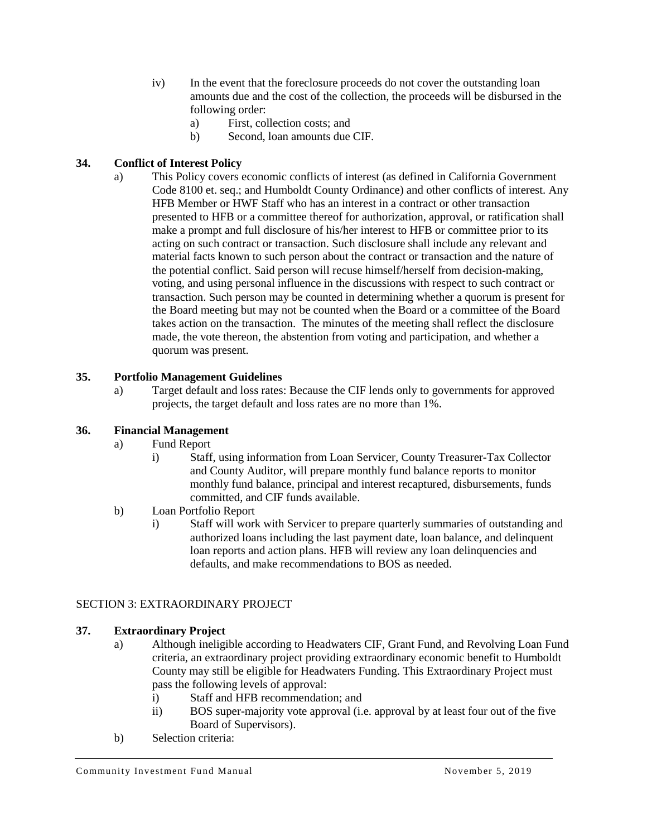- iv) In the event that the foreclosure proceeds do not cover the outstanding loan amounts due and the cost of the collection, the proceeds will be disbursed in the following order:
	- a) First, collection costs; and
	- b) Second, loan amounts due CIF.

## <span id="page-15-0"></span>**34. Conflict of Interest Policy**

a) This Policy covers economic conflicts of interest (as defined in California Government Code 8100 et. seq.; and Humboldt County Ordinance) and other conflicts of interest. Any HFB Member or HWF Staff who has an interest in a contract or other transaction presented to HFB or a committee thereof for authorization, approval, or ratification shall make a prompt and full disclosure of his/her interest to HFB or committee prior to its acting on such contract or transaction. Such disclosure shall include any relevant and material facts known to such person about the contract or transaction and the nature of the potential conflict. Said person will recuse himself/herself from decision-making, voting, and using personal influence in the discussions with respect to such contract or transaction. Such person may be counted in determining whether a quorum is present for the Board meeting but may not be counted when the Board or a committee of the Board takes action on the transaction. The minutes of the meeting shall reflect the disclosure made, the vote thereon, the abstention from voting and participation, and whether a quorum was present.

### <span id="page-15-1"></span>**35. Portfolio Management Guidelines**

a) Target default and loss rates: Because the CIF lends only to governments for approved projects, the target default and loss rates are no more than 1%.

### <span id="page-15-2"></span>**36. Financial Management**

- a) Fund Report
	- i) Staff, using information from Loan Servicer, County Treasurer-Tax Collector and County Auditor, will prepare monthly fund balance reports to monitor monthly fund balance, principal and interest recaptured, disbursements, funds committed, and CIF funds available.
- b) Loan Portfolio Report
	- i) Staff will work with Servicer to prepare quarterly summaries of outstanding and authorized loans including the last payment date, loan balance, and delinquent loan reports and action plans. HFB will review any loan delinquencies and defaults, and make recommendations to BOS as needed.

### SECTION 3: EXTRAORDINARY PROJECT

### <span id="page-15-3"></span>**37. Extraordinary Project**

- a) Although ineligible according to Headwaters CIF, Grant Fund, and Revolving Loan Fund criteria, an extraordinary project providing extraordinary economic benefit to Humboldt County may still be eligible for Headwaters Funding. This Extraordinary Project must pass the following levels of approval:
	- i) Staff and HFB recommendation; and
	- ii) BOS super-majority vote approval (i.e. approval by at least four out of the five Board of Supervisors).
- b) Selection criteria: